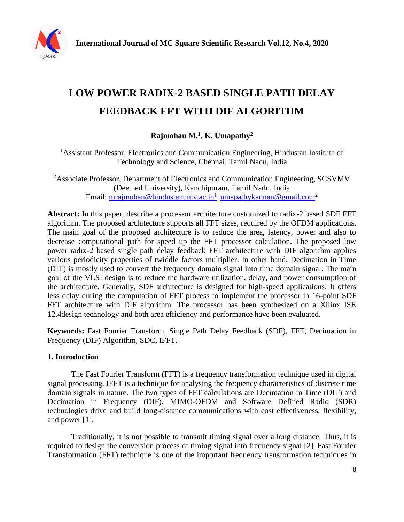

# **LOW POWER RADIX-2 BASED SINGLE PATH DELAY FEEDBACK FFT WITH DIF ALGORITHM**

# **Rajmohan M.<sup>1</sup> , K. Umapathy<sup>2</sup>**

<sup>1</sup>Assistant Professor, Electronics and Communication Engineering, Hindustan Institute of Technology and Science, Chennai, Tamil Nadu, India

<sup>2</sup>Associate Professor, Department of Electronics and Communication Engineering, SCSVMV (Deemed University), Kanchipuram, Tamil Nadu, India Email: <u>mrajmohan@hindustanuniv.ac.in<sup>1</sup>, [umapathykannan@gmail.com](mailto:umapathykannan@gmail.com)</u><sup>2</sup>

**Abstract:** In this paper, describe a processor architecture customized to radix-2 based SDF FFT algorithm. The proposed architecture supports all FFT sizes, required by the OFDM applications. The main goal of the proposed architecture is to reduce the area, latency, power and also to decrease computational path for speed up the FFT processor calculation. The proposed low power radix-2 based single path delay feedback FFT architecture with DIF algorithm applies various periodicity properties of twiddle factors multiplier. In other hand, Decimation in Time (DIT) is mostly used to convert the frequency domain signal into time domain signal. The main goal of the VLSI design is to reduce the hardware utilization, delay, and power consumption of the architecture. Generally, SDF architecture is designed for high-speed applications. It offers less delay during the computation of FFT process to implement the processor in 16-point SDF FFT architecture with DIF algorithm. The processor has been synthesized on a Xilinx ISE 12.4design technology and both area efficiency and performance have been evaluated.

**Keywords:** Fast Fourier Transform, Single Path Delay Feedback (SDF), FFT, Decimation in Frequency (DIF) Algorithm, SDC, IFFT.

# **1. Introduction**

The Fast Fourier Transform (FFT) is a frequency transformation technique used in digital signal processing. IFFT is a technique for analysing the frequency characteristics of discrete time domain signals in nature. The two types of FFT calculations are Decimation in Time (DIT) and Decimation in Frequency (DIF). MIMO-OFDM and Software Defined Radio (SDR) technologies drive and build long-distance communications with cost effectiveness, flexibility, and power [1].

Traditionally, it is not possible to transmit timing signal over a long distance. Thus, it is required to design the conversion process of timing signal into frequency signal [2]. Fast Fourier Transformation (FFT) technique is one of the important frequency transformation techniques in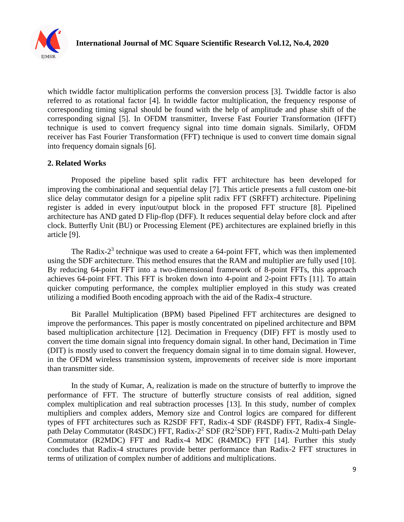

which twiddle factor multiplication performs the conversion process [3]. Twiddle factor is also referred to as rotational factor [4]. In twiddle factor multiplication, the frequency response of corresponding timing signal should be found with the help of amplitude and phase shift of the corresponding signal [5]. In OFDM transmitter, Inverse Fast Fourier Transformation (IFFT) technique is used to convert frequency signal into time domain signals. Similarly, OFDM receiver has Fast Fourier Transformation (FFT) technique is used to convert time domain signal into frequency domain signals [6].

### **2. Related Works**

Proposed the pipeline based split radix FFT architecture has been developed for improving the combinational and sequential delay [7]. This article presents a full custom one-bit slice delay commutator design for a pipeline split radix FFT (SRFFT) architecture. Pipelining register is added in every input/output block in the proposed FFT structure [8]. Pipelined architecture has AND gated D Flip-flop (DFF). It reduces sequential delay before clock and after clock. Butterfly Unit (BU) or Processing Element (PE) architectures are explained briefly in this article [9].

The Radix- $2<sup>3</sup>$  technique was used to create a 64-point FFT, which was then implemented using the SDF architecture. This method ensures that the RAM and multiplier are fully used [10]. By reducing 64-point FFT into a two-dimensional framework of 8-point FFTs, this approach achieves 64-point FFT. This FFT is broken down into 4-point and 2-point FFTs [11]. To attain quicker computing performance, the complex multiplier employed in this study was created utilizing a modified Booth encoding approach with the aid of the Radix-4 structure.

Bit Parallel Multiplication (BPM) based Pipelined FFT architectures are designed to improve the performances. This paper is mostly concentrated on pipelined architecture and BPM based multiplication architecture [12]. Decimation in Frequency (DIF) FFT is mostly used to convert the time domain signal into frequency domain signal. In other hand, Decimation in Time (DIT) is mostly used to convert the frequency domain signal in to time domain signal. However, in the OFDM wireless transmission system, improvements of receiver side is more important than transmitter side.

In the study of Kumar, A, realization is made on the structure of butterfly to improve the performance of FFT. The structure of butterfly structure consists of real addition, signed complex multiplication and real subtraction processes [13]. In this study, number of complex multipliers and complex adders, Memory size and Control logics are compared for different types of FFT architectures such as R2SDF FFT, Radix-4 SDF (R4SDF) FFT, Radix-4 Singlepath Delay Commutator (R4SDC) FFT, Radix-2<sup>2</sup> SDF (R2<sup>2</sup>SDF) FFT, Radix-2 Multi-path Delay Commutator (R2MDC) FFT and Radix-4 MDC (R4MDC) FFT [14]. Further this study concludes that Radix-4 structures provide better performance than Radix-2 FFT structures in terms of utilization of complex number of additions and multiplications.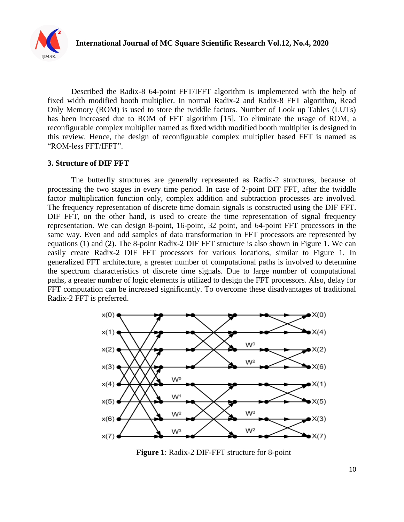

Described the Radix-8 64-point FFT/IFFT algorithm is implemented with the help of fixed width modified booth multiplier. In normal Radix-2 and Radix-8 FFT algorithm, Read Only Memory (ROM) is used to store the twiddle factors. Number of Look up Tables (LUTs) has been increased due to ROM of FFT algorithm [15]. To eliminate the usage of ROM, a reconfigurable complex multiplier named as fixed width modified booth multiplier is designed in this review. Hence, the design of reconfigurable complex multiplier based FFT is named as "ROM-less FFT/IFFT".

#### **3. Structure of DIF FFT**

The butterfly structures are generally represented as Radix-2 structures, because of processing the two stages in every time period. In case of 2-point DIT FFT, after the twiddle factor multiplication function only, complex addition and subtraction processes are involved. The frequency representation of discrete time domain signals is constructed using the DIF FFT. DIF FFT, on the other hand, is used to create the time representation of signal frequency representation. We can design 8-point, 16-point, 32 point, and 64-point FFT processors in the same way. Even and odd samples of data transformation in FFT processors are represented by equations (1) and (2). The 8-point Radix-2 DIF FFT structure is also shown in Figure 1. We can easily create Radix-2 DIF FFT processors for various locations, similar to Figure 1. In generalized FFT architecture, a greater number of computational paths is involved to determine the spectrum characteristics of discrete time signals. Due to large number of computational paths, a greater number of logic elements is utilized to design the FFT processors. Also, delay for FFT computation can be increased significantly. To overcome these disadvantages of traditional Radix-2 FFT is preferred.



**Figure 1**: Radix-2 DIF-FFT structure for 8-point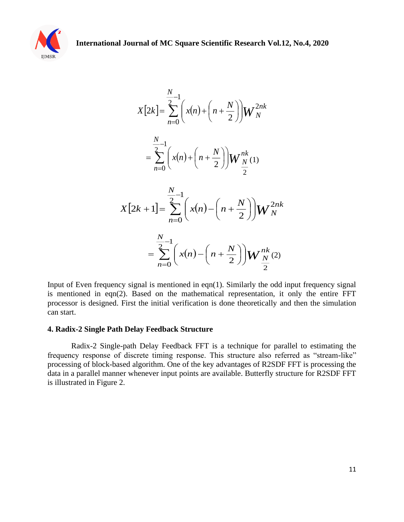

$$
X[2k] = \sum_{n=0}^{N} \left( x(n) + \left( n + \frac{N}{2} \right) \right) W_N^{2nk}
$$
  

$$
= \sum_{n=0}^{N} \left( x(n) + \left( n + \frac{N}{2} \right) \right) W_N^{nk}
$$
  

$$
X[2k+1] = \sum_{n=0}^{N} \left( x(n) - \left( n + \frac{N}{2} \right) \right) W_N^{2nk}
$$
  

$$
= \sum_{n=0}^{N} \left( x(n) - \left( n + \frac{N}{2} \right) \right) W_N^{nk}
$$

Input of Even frequency signal is mentioned in eqn(1). Similarly the odd input frequency signal is mentioned in eqn(2). Based on the mathematical representation, it only the entire FFT processor is designed. First the initial verification is done theoretically and then the simulation can start.

#### **4. Radix-2 Single Path Delay Feedback Structure**

Radix-2 Single-path Delay Feedback FFT is a technique for parallel to estimating the frequency response of discrete timing response. This structure also referred as "stream-like" processing of block-based algorithm. One of the key advantages of R2SDF FFT is processing the data in a parallel manner whenever input points are available. Butterfly structure for R2SDF FFT is illustrated in Figure 2.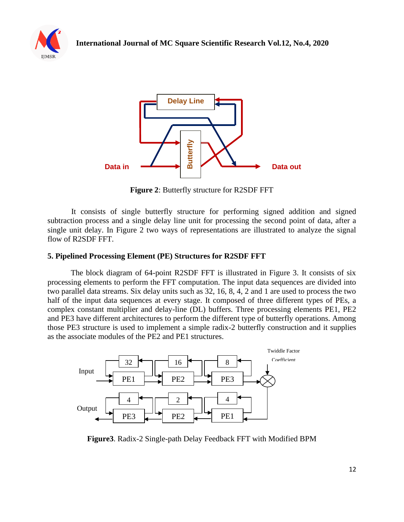



**Figure 2**: Butterfly structure for R2SDF FFT

It consists of single butterfly structure for performing signed addition and signed subtraction process and a single delay line unit for processing the second point of data, after a single unit delay. In Figure 2 two ways of representations are illustrated to analyze the signal flow of R2SDF FFT.

### **5. Pipelined Processing Element (PE) Structures for R2SDF FFT**

The block diagram of 64-point R2SDF FFT is illustrated in Figure 3. It consists of six processing elements to perform the FFT computation. The input data sequences are divided into two parallel data streams. Six delay units such as 32, 16, 8, 4, 2 and 1 are used to process the two half of the input data sequences at every stage. It composed of three different types of PEs, a complex constant multiplier and delay-line (DL) buffers. Three processing elements PE1, PE2 and PE3 have different architectures to perform the different type of butterfly operations. Among those PE3 structure is used to implement a simple radix-2 butterfly construction and it supplies as the associate modules of the PE2 and PE1 structures.



**Figure3**. Radix-2 Single-path Delay Feedback FFT with Modified BPM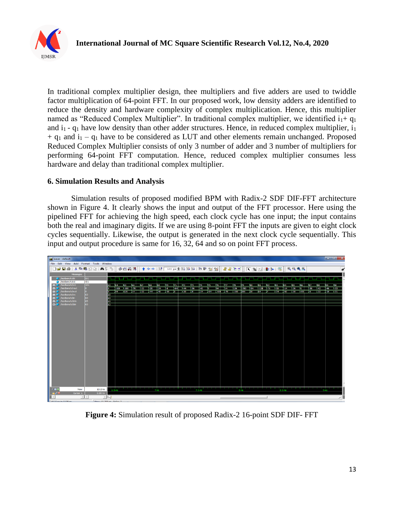

In traditional complex multiplier design, thee multipliers and five adders are used to twiddle factor multiplication of 64-point FFT. In our proposed work, low density adders are identified to reduce the density and hardware complexity of complex multiplication. Hence, this multiplier named as "Reduced Complex Multiplier". In traditional complex multiplier, we identified  $i_1 + q_1$ and  $i_1$  -  $q_1$  have low density than other adder structures. Hence, in reduced complex multiplier,  $i_1$  $+$  q<sub>1</sub> and  $i_1$  – q<sub>1</sub> have to be considered as LUT and other elements remain unchanged. Proposed Reduced Complex Multiplier consists of only 3 number of adder and 3 number of multipliers for performing 64-point FFT computation. Hence, reduced complex multiplier consumes less hardware and delay than traditional complex multiplier.

#### **6. Simulation Results and Analysis**

Simulation results of proposed modified BPM with Radix-2 SDF DIF-FFT architecture shown in Figure 4. It clearly shows the input and output of the FFT processor. Here using the pipelined FFT for achieving the high speed, each clock cycle has one input; the input contains both the real and imaginary digits. If we are using 8-point FFT the inputs are given to eight clock cycles sequentially. Likewise, the output is generated in the next clock cycle sequentially. This input and output procedure is same for 16, 32, 64 and so on point FFT process.



**Figure 4:** Simulation result of proposed Radix-2 16-point SDF DIF- FFT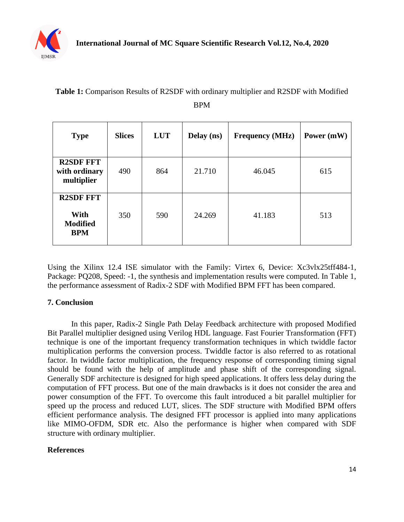

| DL M                                                      |               |            |            |                        |            |
|-----------------------------------------------------------|---------------|------------|------------|------------------------|------------|
| <b>Type</b>                                               | <b>Slices</b> | <b>LUT</b> | Delay (ns) | <b>Frequency (MHz)</b> | Power (mW) |
| <b>R2SDF FFT</b><br>with ordinary<br>multiplier           | 490           | 864        | 21.710     | 46.045                 | 615        |
| <b>R2SDF FFT</b><br>With<br><b>Modified</b><br><b>BPM</b> | 350           | 590        | 24.269     | 41.183                 | 513        |

**Table 1:** Comparison Results of R2SDF with ordinary multiplier and R2SDF with Modified

# BPM

Using the Xilinx 12.4 ISE simulator with the Family: Virtex 6, Device: Xc3vlx25tff484-1, Package: PQ208, Speed: -1, the synthesis and implementation results were computed. In Table 1, the performance assessment of Radix-2 SDF with Modified BPM FFT has been compared.

# **7. Conclusion**

In this paper, Radix-2 Single Path Delay Feedback architecture with proposed Modified Bit Parallel multiplier designed using Verilog HDL language. Fast Fourier Transformation (FFT) technique is one of the important frequency transformation techniques in which twiddle factor multiplication performs the conversion process. Twiddle factor is also referred to as rotational factor. In twiddle factor multiplication, the frequency response of corresponding timing signal should be found with the help of amplitude and phase shift of the corresponding signal. Generally SDF architecture is designed for high speed applications. It offers less delay during the computation of FFT process. But one of the main drawbacks is it does not consider the area and power consumption of the FFT. To overcome this fault introduced a bit parallel multiplier for speed up the process and reduced LUT, slices. The SDF structure with Modified BPM offers efficient performance analysis. The designed FFT processor is applied into many applications like MIMO-OFDM, SDR etc. Also the performance is higher when compared with SDF structure with ordinary multiplier.

### **References**